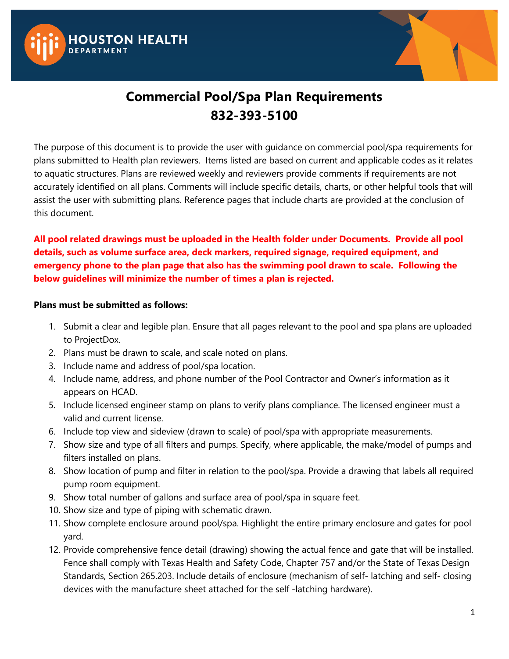



# **Commercial Pool/Spa Plan Requirements 832-393-5100**

The purpose of this document is to provide the user with guidance on commercial pool/spa requirements for plans submitted to Health plan reviewers. Items listed are based on current and applicable codes as it relates to aquatic structures. Plans are reviewed weekly and reviewers provide comments if requirements are not accurately identified on all plans. Comments will include specific details, charts, or other helpful tools that will assist the user with submitting plans. Reference pages that include charts are provided at the conclusion of this document.

**All pool related drawings must be uploaded in the Health folder under Documents. Provide all pool details, such as volume surface area, deck markers, required signage, required equipment, and emergency phone to the plan page that also has the swimming pool drawn to scale. Following the below guidelines will minimize the number of times a plan is rejected.**

#### **Plans must be submitted as follows:**

- 1. Submit a clear and legible plan. Ensure that all pages relevant to the pool and spa plans are uploaded to ProjectDox.
- 2. Plans must be drawn to scale, and scale noted on plans.
- 3. Include name and address of pool/spa location.
- 4. Include name, address, and phone number of the Pool Contractor and Owner's information as it appears on HCAD.
- 5. Include licensed engineer stamp on plans to verify plans compliance. The licensed engineer must a valid and current license.
- 6. Include top view and sideview (drawn to scale) of pool/spa with appropriate measurements.
- 7. Show size and type of all filters and pumps. Specify, where applicable, the make/model of pumps and filters installed on plans.
- 8. Show location of pump and filter in relation to the pool/spa. Provide a drawing that labels all required pump room equipment.
- 9. Show total number of gallons and surface area of pool/spa in square feet.
- 10. Show size and type of piping with schematic drawn.
- 11. Show complete enclosure around pool/spa. Highlight the entire primary enclosure and gates for pool yard.
- 12. Provide comprehensive fence detail (drawing) showing the actual fence and gate that will be installed. Fence shall comply with Texas Health and Safety Code, Chapter 757 and/or the State of Texas Design Standards, Section 265.203. Include details of enclosure (mechanism of self- latching and self- closing devices with the manufacture sheet attached for the self -latching hardware).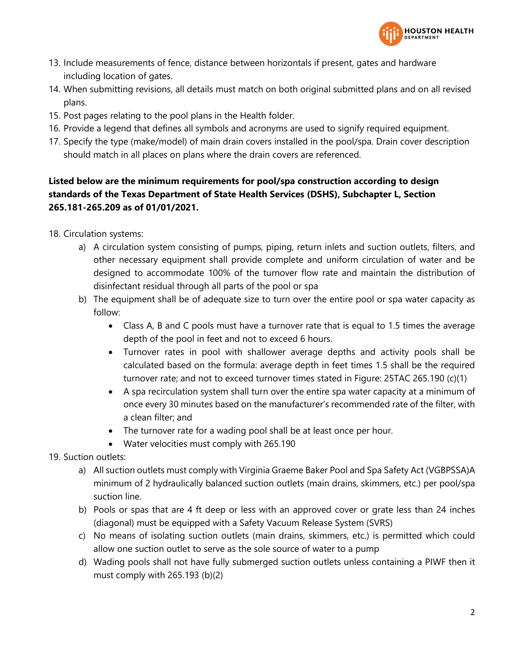

- 13. Include measurements of fence, distance between horizontals if present, gates and hardware including location of gates.
- 14. When submitting revisions, all details must match on both original submitted plans and on all revised plans.
- 15. Post pages relating to the pool plans in the Health folder.
- 16. Provide a legend that defines all symbols and acronyms are used to signify required equipment.
- 17. Specify the type (make/model) of main drain covers installed in the pool/spa. Drain cover description should match in all places on plans where the drain covers are referenced.

### **Listed below are the minimum requirements for pool/spa construction according to design standards of the Texas Department of State Health Services (DSHS), Subchapter L, Section 265.181-265.209 as of 01/01/2021.**

- 18. Circulation systems:
	- a) A circulation system consisting of pumps, piping, return inlets and suction outlets, filters, and other necessary equipment shall provide complete and uniform circulation of water and be designed to accommodate 100% of the turnover flow rate and maintain the distribution of disinfectant residual through all parts of the pool or spa
	- b) The equipment shall be of adequate size to turn over the entire pool or spa water capacity as follow:
		- Class A, B and C pools must have a turnover rate that is equal to 1.5 times the average depth of the pool in feet and not to exceed 6 hours.
		- Turnover rates in pool with shallower average depths and activity pools shall be calculated based on the formula: average depth in feet times 1.5 shall be the required turnover rate; and not to exceed turnover times stated in Figure: 25TAC 265.190 (c)(1)
		- A spa recirculation system shall turn over the entire spa water capacity at a minimum of once every 30 minutes based on the manufacturer's recommended rate of the filter, with a clean filter; and
		- The turnover rate for a wading pool shall be at least once per hour.
		- Water velocities must comply with 265.190
- 19. Suction outlets:
	- a) All suction outlets must comply with Virginia Graeme Baker Pool and Spa Safety Act (VGBPSSA)A minimum of 2 hydraulically balanced suction outlets (main drains, skimmers, etc.) per pool/spa suction line.
	- b) Pools or spas that are 4 ft deep or less with an approved cover or grate less than 24 inches (diagonal) must be equipped with a Safety Vacuum Release System (SVRS)
	- c) No means of isolating suction outlets (main drains, skimmers, etc.) is permitted which could allow one suction outlet to serve as the sole source of water to a pump
	- d) Wading pools shall not have fully submerged suction outlets unless containing a PIWF then it must comply with 265.193 (b)(2)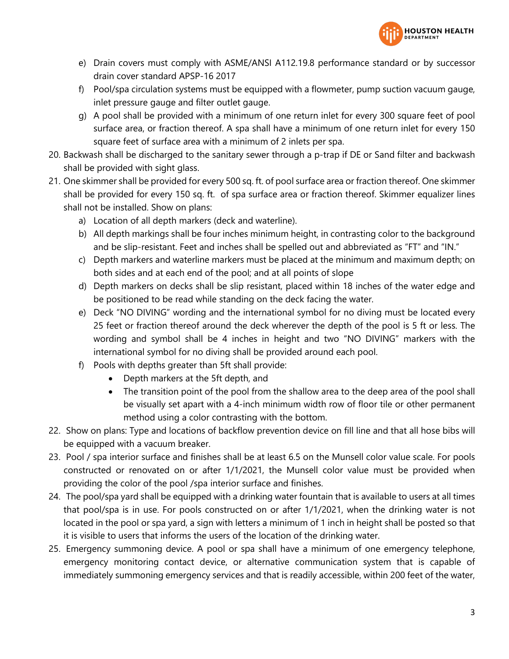

- e) Drain covers must comply with ASME/ANSI A112.19.8 performance standard or by successor drain cover standard APSP-16 2017
- f) Pool/spa circulation systems must be equipped with a flowmeter, pump suction vacuum gauge, inlet pressure gauge and filter outlet gauge.
- g) A pool shall be provided with a minimum of one return inlet for every 300 square feet of pool surface area, or fraction thereof. A spa shall have a minimum of one return inlet for every 150 square feet of surface area with a minimum of 2 inlets per spa.
- 20. Backwash shall be discharged to the sanitary sewer through a p-trap if DE or Sand filter and backwash shall be provided with sight glass.
- 21. One skimmer shall be provided for every 500 sq. ft. of pool surface area or fraction thereof. One skimmer shall be provided for every 150 sq. ft. of spa surface area or fraction thereof. Skimmer equalizer lines shall not be installed. Show on plans:
	- a) Location of all depth markers (deck and waterline).
	- b) All depth markings shall be four inches minimum height, in contrasting color to the background and be slip-resistant. Feet and inches shall be spelled out and abbreviated as "FT" and "IN."
	- c) Depth markers and waterline markers must be placed at the minimum and maximum depth; on both sides and at each end of the pool; and at all points of slope
	- d) Depth markers on decks shall be slip resistant, placed within 18 inches of the water edge and be positioned to be read while standing on the deck facing the water.
	- e) Deck "NO DIVING" wording and the international symbol for no diving must be located every 25 feet or fraction thereof around the deck wherever the depth of the pool is 5 ft or less. The wording and symbol shall be 4 inches in height and two "NO DIVING" markers with the international symbol for no diving shall be provided around each pool.
	- f) Pools with depths greater than 5ft shall provide:
		- Depth markers at the 5ft depth, and
		- The transition point of the pool from the shallow area to the deep area of the pool shall be visually set apart with a 4-inch minimum width row of floor tile or other permanent method using a color contrasting with the bottom.
- 22. Show on plans: Type and locations of backflow prevention device on fill line and that all hose bibs will be equipped with a vacuum breaker.
- 23. Pool / spa interior surface and finishes shall be at least 6.5 on the Munsell color value scale. For pools constructed or renovated on or after 1/1/2021, the Munsell color value must be provided when providing the color of the pool /spa interior surface and finishes.
- 24. The pool/spa yard shall be equipped with a drinking water fountain that is available to users at all times that pool/spa is in use. For pools constructed on or after 1/1/2021, when the drinking water is not located in the pool or spa yard, a sign with letters a minimum of 1 inch in height shall be posted so that it is visible to users that informs the users of the location of the drinking water.
- 25. Emergency summoning device. A pool or spa shall have a minimum of one emergency telephone, emergency monitoring contact device, or alternative communication system that is capable of immediately summoning emergency services and that is readily accessible, within 200 feet of the water,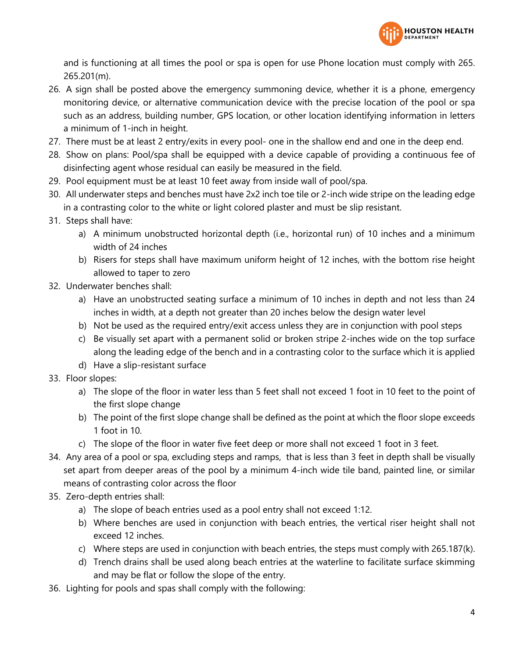

and is functioning at all times the pool or spa is open for use Phone location must comply with 265. 265.201(m).

- 26. A sign shall be posted above the emergency summoning device, whether it is a phone, emergency monitoring device, or alternative communication device with the precise location of the pool or spa such as an address, building number, GPS location, or other location identifying information in letters a minimum of 1-inch in height.
- 27. There must be at least 2 entry/exits in every pool- one in the shallow end and one in the deep end.
- 28. Show on plans: Pool/spa shall be equipped with a device capable of providing a continuous fee of disinfecting agent whose residual can easily be measured in the field.
- 29. Pool equipment must be at least 10 feet away from inside wall of pool/spa.
- 30. All underwater steps and benches must have 2x2 inch toe tile or 2-inch wide stripe on the leading edge in a contrasting color to the white or light colored plaster and must be slip resistant.
- 31. Steps shall have:
	- a) A minimum unobstructed horizontal depth (i.e., horizontal run) of 10 inches and a minimum width of 24 inches
	- b) Risers for steps shall have maximum uniform height of 12 inches, with the bottom rise height allowed to taper to zero
- 32. Underwater benches shall:
	- a) Have an unobstructed seating surface a minimum of 10 inches in depth and not less than 24 inches in width, at a depth not greater than 20 inches below the design water level
	- b) Not be used as the required entry/exit access unless they are in conjunction with pool steps
	- c) Be visually set apart with a permanent solid or broken stripe 2-inches wide on the top surface along the leading edge of the bench and in a contrasting color to the surface which it is applied
	- d) Have a slip-resistant surface
- 33. Floor slopes:
	- a) The slope of the floor in water less than 5 feet shall not exceed 1 foot in 10 feet to the point of the first slope change
	- b) The point of the first slope change shall be defined as the point at which the floor slope exceeds 1 foot in 10.
	- c) The slope of the floor in water five feet deep or more shall not exceed 1 foot in 3 feet.
- 34. Any area of a pool or spa, excluding steps and ramps, that is less than 3 feet in depth shall be visually set apart from deeper areas of the pool by a minimum 4-inch wide tile band, painted line, or similar means of contrasting color across the floor
- 35. Zero-depth entries shall:
	- a) The slope of beach entries used as a pool entry shall not exceed 1:12.
	- b) Where benches are used in conjunction with beach entries, the vertical riser height shall not exceed 12 inches.
	- c) Where steps are used in conjunction with beach entries, the steps must comply with 265.187(k).
	- d) Trench drains shall be used along beach entries at the waterline to facilitate surface skimming and may be flat or follow the slope of the entry.
- 36. Lighting for pools and spas shall comply with the following: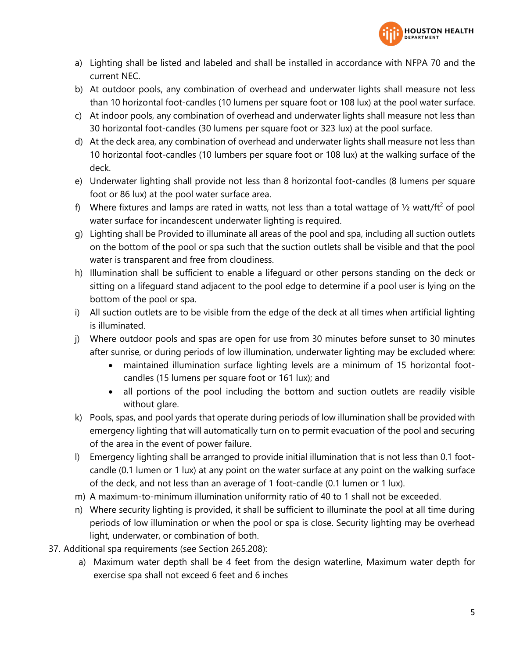

- a) Lighting shall be listed and labeled and shall be installed in accordance with NFPA 70 and the current NEC.
- b) At outdoor pools, any combination of overhead and underwater lights shall measure not less than 10 horizontal foot-candles (10 lumens per square foot or 108 lux) at the pool water surface.
- c) At indoor pools, any combination of overhead and underwater lights shall measure not less than 30 horizontal foot-candles (30 lumens per square foot or 323 lux) at the pool surface.
- d) At the deck area, any combination of overhead and underwater lights shall measure not less than 10 horizontal foot-candles (10 lumbers per square foot or 108 lux) at the walking surface of the deck.
- e) Underwater lighting shall provide not less than 8 horizontal foot-candles (8 lumens per square foot or 86 lux) at the pool water surface area.
- f) Where fixtures and lamps are rated in watts, not less than a total wattage of  $\frac{1}{2}$  watt/ft<sup>2</sup> of pool water surface for incandescent underwater lighting is required.
- g) Lighting shall be Provided to illuminate all areas of the pool and spa, including all suction outlets on the bottom of the pool or spa such that the suction outlets shall be visible and that the pool water is transparent and free from cloudiness.
- h) Illumination shall be sufficient to enable a lifeguard or other persons standing on the deck or sitting on a lifeguard stand adjacent to the pool edge to determine if a pool user is lying on the bottom of the pool or spa.
- i) All suction outlets are to be visible from the edge of the deck at all times when artificial lighting is illuminated.
- j) Where outdoor pools and spas are open for use from 30 minutes before sunset to 30 minutes after sunrise, or during periods of low illumination, underwater lighting may be excluded where:
	- maintained illumination surface lighting levels are a minimum of 15 horizontal footcandles (15 lumens per square foot or 161 lux); and
	- all portions of the pool including the bottom and suction outlets are readily visible without glare.
- k) Pools, spas, and pool yards that operate during periods of low illumination shall be provided with emergency lighting that will automatically turn on to permit evacuation of the pool and securing of the area in the event of power failure.
- l) Emergency lighting shall be arranged to provide initial illumination that is not less than 0.1 footcandle (0.1 lumen or 1 lux) at any point on the water surface at any point on the walking surface of the deck, and not less than an average of 1 foot-candle (0.1 lumen or 1 lux).
- m) A maximum-to-minimum illumination uniformity ratio of 40 to 1 shall not be exceeded.
- n) Where security lighting is provided, it shall be sufficient to illuminate the pool at all time during periods of low illumination or when the pool or spa is close. Security lighting may be overhead light, underwater, or combination of both.
- 37. Additional spa requirements (see Section 265.208):
	- a) Maximum water depth shall be 4 feet from the design waterline, Maximum water depth for exercise spa shall not exceed 6 feet and 6 inches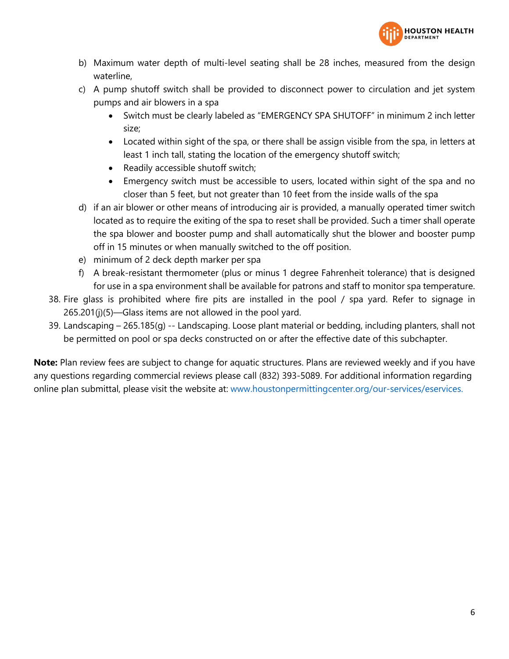

- b) Maximum water depth of multi-level seating shall be 28 inches, measured from the design waterline,
- c) A pump shutoff switch shall be provided to disconnect power to circulation and jet system pumps and air blowers in a spa
	- Switch must be clearly labeled as "EMERGENCY SPA SHUTOFF" in minimum 2 inch letter size;
	- Located within sight of the spa, or there shall be assign visible from the spa, in letters at least 1 inch tall, stating the location of the emergency shutoff switch;
	- Readily accessible shutoff switch;
	- Emergency switch must be accessible to users, located within sight of the spa and no closer than 5 feet, but not greater than 10 feet from the inside walls of the spa
- d) if an air blower or other means of introducing air is provided, a manually operated timer switch located as to require the exiting of the spa to reset shall be provided. Such a timer shall operate the spa blower and booster pump and shall automatically shut the blower and booster pump off in 15 minutes or when manually switched to the off position.
- e) minimum of 2 deck depth marker per spa
- f) A break-resistant thermometer (plus or minus 1 degree Fahrenheit tolerance) that is designed for use in a spa environment shall be available for patrons and staff to monitor spa temperature.
- 38. Fire glass is prohibited where fire pits are installed in the pool / spa yard. Refer to signage in 265.201(j)(5)—Glass items are not allowed in the pool yard.
- 39. Landscaping 265.185(g) -- Landscaping. Loose plant material or bedding, including planters, shall not be permitted on pool or spa decks constructed on or after the effective date of this subchapter.

**Note:** Plan review fees are subject to change for aquatic structures. Plans are reviewed weekly and if you have any questions regarding commercial reviews please call (832) 393-5089. For additional information regarding online plan submittal, please visit the website at: www.houstonpermittingcenter.org/our-services/eservices.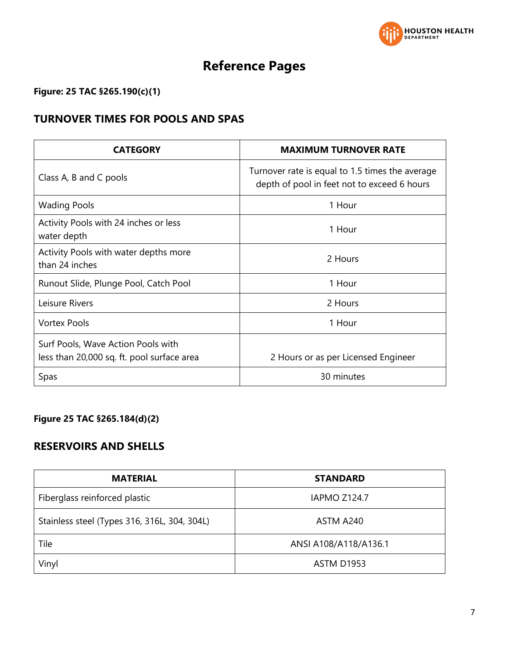

# **Reference Pages**

### **Figure: 25 TAC §265.190(c)(1)**

## **TURNOVER TIMES FOR POOLS AND SPAS**

| <b>CATEGORY</b>                                                                  | <b>MAXIMUM TURNOVER RATE</b>                                                                   |
|----------------------------------------------------------------------------------|------------------------------------------------------------------------------------------------|
| Class A, B and C pools                                                           | Turnover rate is equal to 1.5 times the average<br>depth of pool in feet not to exceed 6 hours |
| <b>Wading Pools</b>                                                              | 1 Hour                                                                                         |
| Activity Pools with 24 inches or less<br>water depth                             | 1 Hour                                                                                         |
| Activity Pools with water depths more<br>than 24 inches                          | 2 Hours                                                                                        |
| Runout Slide, Plunge Pool, Catch Pool                                            | 1 Hour                                                                                         |
| Leisure Rivers                                                                   | 2 Hours                                                                                        |
| <b>Vortex Pools</b>                                                              | 1 Hour                                                                                         |
| Surf Pools, Wave Action Pools with<br>less than 20,000 sq. ft. pool surface area | 2 Hours or as per Licensed Engineer                                                            |
| Spas                                                                             | 30 minutes                                                                                     |

### **Figure 25 TAC §265.184(d)(2)**

## **RESERVOIRS AND SHELLS**

| <b>MATERIAL</b>                              | <b>STANDARD</b>       |
|----------------------------------------------|-----------------------|
| Fiberglass reinforced plastic                | <b>IAPMO Z124.7</b>   |
| Stainless steel (Types 316, 316L, 304, 304L) | ASTM A240             |
| Tile                                         | ANSI A108/A118/A136.1 |
| Vinyl                                        | <b>ASTM D1953</b>     |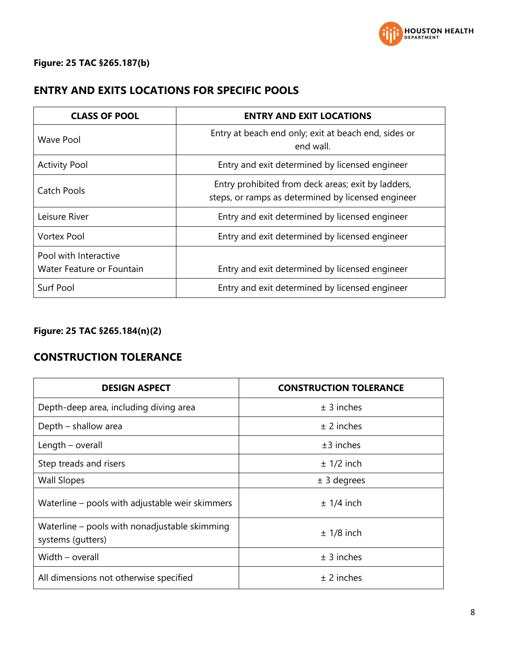

#### **Figure: 25 TAC §265.187(b)**

## **ENTRY AND EXITS LOCATIONS FOR SPECIFIC POOLS**

| <b>CLASS OF POOL</b>                               | <b>ENTRY AND EXIT LOCATIONS</b>                                                                          |
|----------------------------------------------------|----------------------------------------------------------------------------------------------------------|
| Wave Pool                                          | Entry at beach end only; exit at beach end, sides or<br>end wall.                                        |
| <b>Activity Pool</b>                               | Entry and exit determined by licensed engineer                                                           |
| <b>Catch Pools</b>                                 | Entry prohibited from deck areas; exit by ladders,<br>steps, or ramps as determined by licensed engineer |
| Leisure River                                      | Entry and exit determined by licensed engineer                                                           |
| <b>Vortex Pool</b>                                 | Entry and exit determined by licensed engineer                                                           |
| Pool with Interactive<br>Water Feature or Fountain | Entry and exit determined by licensed engineer                                                           |
| Surf Pool                                          | Entry and exit determined by licensed engineer                                                           |

## **Figure: 25 TAC §265.184(n)(2)**

## **CONSTRUCTION TOLERANCE**

| <b>DESIGN ASPECT</b>                                               | <b>CONSTRUCTION TOLERANCE</b> |
|--------------------------------------------------------------------|-------------------------------|
| Depth-deep area, including diving area                             | $±$ 3 inches                  |
| Depth - shallow area                                               | $±$ 2 inches                  |
| Length - overall                                                   | $±3$ inches                   |
| Step treads and risers                                             | $± 1/2$ inch                  |
| <b>Wall Slopes</b>                                                 | $± 3$ degrees                 |
| Waterline – pools with adjustable weir skimmers                    | $± 1/4$ inch                  |
| Waterline – pools with nonadjustable skimming<br>systems (gutters) | $± 1/8$ inch                  |
| Width - overall                                                    | $± 3$ inches                  |
| All dimensions not otherwise specified                             | $\pm$ 2 inches                |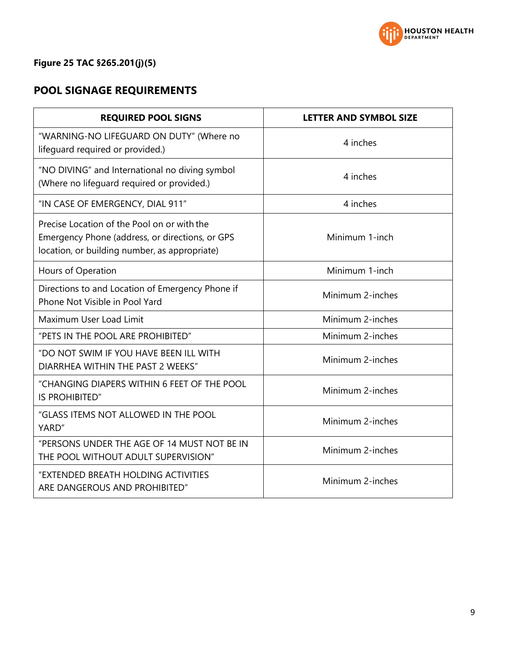

## **Figure 25 TAC §265.201(j)(5)**

## **POOL SIGNAGE REQUIREMENTS**

| <b>REQUIRED POOL SIGNS</b>                                                                                                                      | <b>LETTER AND SYMBOL SIZE</b> |
|-------------------------------------------------------------------------------------------------------------------------------------------------|-------------------------------|
| "WARNING-NO LIFEGUARD ON DUTY" (Where no<br>lifeguard required or provided.)                                                                    | 4 inches                      |
| "NO DIVING" and International no diving symbol<br>(Where no lifeguard required or provided.)                                                    | 4 inches                      |
| "IN CASE OF EMERGENCY, DIAL 911"                                                                                                                | 4 inches                      |
| Precise Location of the Pool on or with the<br>Emergency Phone (address, or directions, or GPS<br>location, or building number, as appropriate) | Minimum 1-inch                |
| Hours of Operation                                                                                                                              | Minimum 1-inch                |
| Directions to and Location of Emergency Phone if<br>Phone Not Visible in Pool Yard                                                              | Minimum 2-inches              |
| Maximum User Load Limit                                                                                                                         | Minimum 2-inches              |
| "PETS IN THE POOL ARE PROHIBITED"                                                                                                               | Minimum 2-inches              |
| "DO NOT SWIM IF YOU HAVE BEEN ILL WITH<br>DIARRHEA WITHIN THE PAST 2 WEEKS"                                                                     | Minimum 2-inches              |
| "CHANGING DIAPERS WITHIN 6 FEET OF THE POOL<br><b>IS PROHIBITED"</b>                                                                            | Minimum 2-inches              |
| "GLASS ITEMS NOT ALLOWED IN THE POOL<br>YARD"                                                                                                   | Minimum 2-inches              |
| "PERSONS UNDER THE AGE OF 14 MUST NOT BE IN<br>THE POOL WITHOUT ADULT SUPERVISION"                                                              | Minimum 2-inches              |
| "EXTENDED BREATH HOLDING ACTIVITIES<br>ARE DANGEROUS AND PROHIBITED"                                                                            | Minimum 2-inches              |